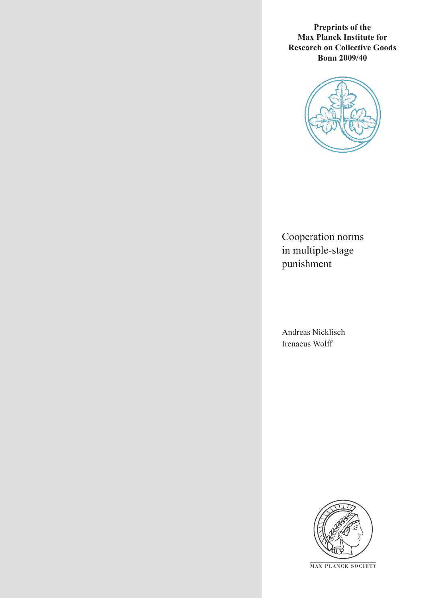**Preprints of the Max Planck Institute for Research on Collective Goods Bonn 2009/40**



Cooperation norms in multiple-stage punishment

Andreas Nicklisch Irenaeus Wolff



**M AX P L A N C K S O C I E T Y**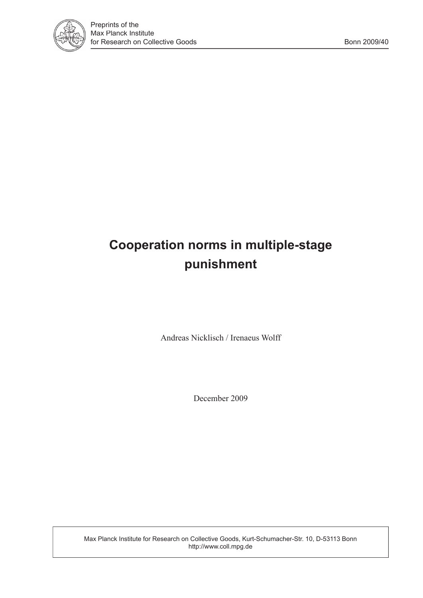

# **Cooperation norms in multiple-stage punishment**

Andreas Nicklisch / Irenaeus Wolff

December 2009

Max Planck Institute for Research on Collective Goods, Kurt-Schumacher-Str. 10, D-53113 Bonn http://www.coll.mpg.de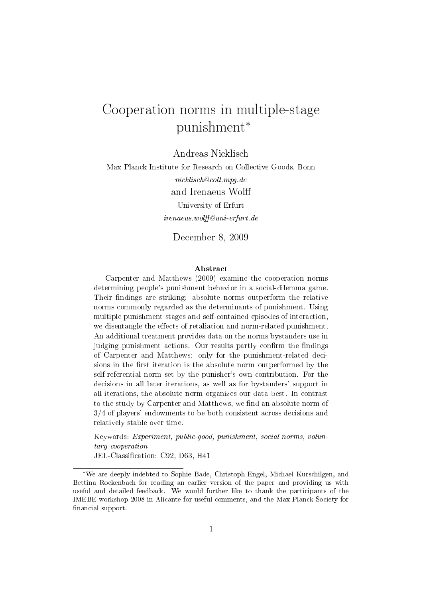# Cooperation norms in multiple-stage punishment<sup>∗</sup>

Andreas Nicklisch

Max Planck Institute for Research on Collective Goods, Bonn nicklisch@coll.mpg.de and Irenaeus Wol University of Erfurt irenaeus.wol@uni-erfurt.de

December 8, 2009

#### Abstract

Carpenter and Matthews (2009) examine the cooperation norms determining people's punishment behavior in a social-dilemma game. Their findings are striking: absolute norms outperform the relative norms commonly regarded as the determinants of punishment. Using multiple punishment stages and self-contained episodes of interaction, we disentangle the effects of retaliation and norm-related punishment. An additional treatment provides data on the norms bystanders use in judging punishment actions. Our results partly confirm the findings of Carpenter and Matthews: only for the punishment-related decisions in the first iteration is the absolute norm outperformed by the self-referential norm set by the punisher's own contribution. For the decisions in all later iterations, as well as for bystanders' support in all iterations, the absolute norm organizes our data best. In contrast to the study by Carpenter and Matthews, we find an absolute norm of 3/4 of players' endowments to be both consistent across decisions and relatively stable over time.

Keywords: Experiment, public-good, punishment, social norms, voluntary cooperation

JEL-Classification: C92, D63, H41

<sup>∗</sup>We are deeply indebted to Sophie Bade, Christoph Engel, Michael Kurschilgen, and Bettina Rockenbach for reading an earlier version of the paper and providing us with useful and detailed feedback. We would further like to thank the participants of the IMEBE workshop 2008 in Alicante for useful comments, and the Max Planck Society for financial support.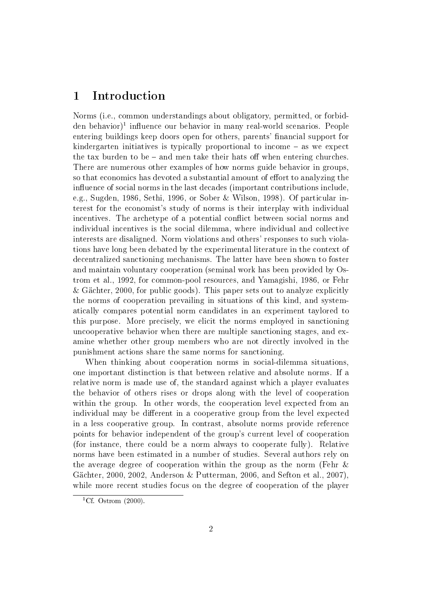## 1 Introduction

Norms (i.e., common understandings about obligatory, permitted, or forbidden behavior)<sup>1</sup> influence our behavior in many real-world scenarios. People entering buildings keep doors open for others, parents' financial support for kindergarten initiatives is typically proportional to income  $-$  as we expect the tax burden to be  $-$  and men take their hats off when entering churches. There are numerous other examples of how norms guide behavior in groups, so that economics has devoted a substantial amount of effort to analyzing the influence of social norms in the last decades (important contributions include, e.g., Sugden, 1986, Sethi, 1996, or Sober & Wilson, 1998). Of particular interest for the economist's study of norms is their interplay with individual incentives. The archetype of a potential conflict between social norms and individual incentives is the social dilemma, where individual and collective interests are disaligned. Norm violations and others' responses to such violations have long been debated by the experimental literature in the context of decentralized sanctioning mechanisms. The latter have been shown to foster and maintain voluntary cooperation (seminal work has been provided by Ostrom et al., 1992, for common-pool resources, and Yamagishi, 1986, or Fehr & Gächter, 2000, for public goods). This paper sets out to analyze explicitly the norms of cooperation prevailing in situations of this kind, and systematically compares potential norm candidates in an experiment taylored to this purpose. More precisely, we elicit the norms employed in sanctioning uncooperative behavior when there are multiple sanctioning stages, and examine whether other group members who are not directly involved in the punishment actions share the same norms for sanctioning.

When thinking about cooperation norms in social-dilemma situations, one important distinction is that between relative and absolute norms. If a relative norm is made use of, the standard against which a player evaluates the behavior of others rises or drops along with the level of cooperation within the group. In other words, the cooperation level expected from an individual may be different in a cooperative group from the level expected in a less cooperative group. In contrast, absolute norms provide reference points for behavior independent of the group's current level of cooperation (for instance, there could be a norm always to cooperate fully). Relative norms have been estimated in a number of studies. Several authors rely on the average degree of cooperation within the group as the norm (Fehr & Gächter, 2000, 2002, Anderson & Putterman, 2006, and Sefton et al., 2007), while more recent studies focus on the degree of cooperation of the player

<sup>&</sup>lt;sup>1</sup>Cf. Ostrom  $(2000)$ .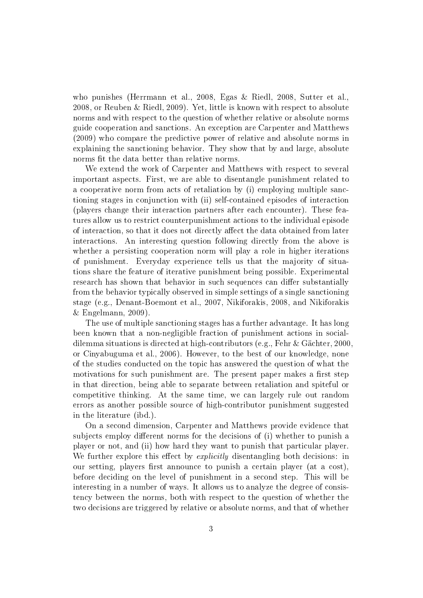who punishes (Herrmann et al., 2008, Egas & Riedl, 2008, Sutter et al., 2008, or Reuben & Riedl, 2009). Yet, little is known with respect to absolute norms and with respect to the question of whether relative or absolute norms guide cooperation and sanctions. An exception are Carpenter and Matthews (2009) who compare the predictive power of relative and absolute norms in explaining the sanctioning behavior. They show that by and large, absolute norms fit the data better than relative norms.

We extend the work of Carpenter and Matthews with respect to several important aspects. First, we are able to disentangle punishment related to a cooperative norm from acts of retaliation by (i) employing multiple sanctioning stages in conjunction with (ii) self-contained episodes of interaction (players change their interaction partners after each encounter). These features allow us to restrict counterpunishment actions to the individual episode of interaction, so that it does not directly affect the data obtained from later interactions. An interesting question following directly from the above is whether a persisting cooperation norm will play a role in higher iterations of punishment. Everyday experience tells us that the majority of situations share the feature of iterative punishment being possible. Experimental research has shown that behavior in such sequences can differ substantially from the behavior typically observed in simple settings of a single sanctioning stage (e.g., Denant-Boemont et al., 2007, Nikiforakis, 2008, and Nikiforakis  $&$  Engelmann, 2009).

The use of multiple sanctioning stages has a further advantage. It has long been known that a non-negligible fraction of punishment actions in socialdilemma situations is directed at high-contributors (e.g., Fehr & Gächter, 2000, or Cinyabuguma et al., 2006). However, to the best of our knowledge, none of the studies conducted on the topic has answered the question of what the motivations for such punishment are. The present paper makes a first step in that direction, being able to separate between retaliation and spiteful or competitive thinking. At the same time, we can largely rule out random errors as another possible source of high-contributor punishment suggested in the literature (ibd.).

On a second dimension, Carpenter and Matthews provide evidence that subjects employ different norms for the decisions of (i) whether to punish a player or not, and (ii) how hard they want to punish that particular player. We further explore this effect by *explicitly* disentangling both decisions: in our setting, players first announce to punish a certain player (at a cost), before deciding on the level of punishment in a second step. This will be interesting in a number of ways. It allows us to analyze the degree of consistency between the norms, both with respect to the question of whether the two decisions are triggered by relative or absolute norms, and that of whether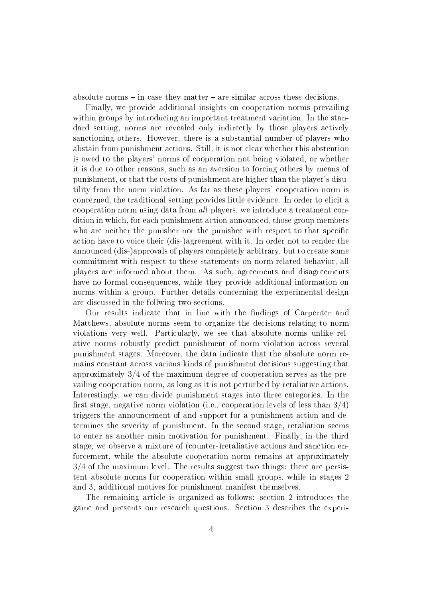absolute norms  $\overline{-}$  in case they matter  $\overline{-}$  are similar across these decisions.

Finally, we provide additional insights on cooperation norms prevailing within groups by introducing an important treatment variation. In the standard setting, norms are revealed only indirectly by those players actively sanctioning others. However, there is a substantial number of players who abstain from punishment actions. Still, it is not clear whether this abstention is owed to the players' norms of cooperation not being violated, or whether it is due to other reasons, such as an aversion to forcing others by means of punishment, or that the costs of punishment are higher than the player's disutility from the norm violation. As far as these players' cooperation norm is concerned, the traditional setting provides little evidence. In order to elicit a cooperation norm using data from all players, we introduce a treatment condition in which, for each punishment action announced, those group members who are neither the punisher nor the punishee with respect to that specific action have to voice their (dis-)agreement with it. In order not to render the announced (dis-)approvals of players completely arbitrary, but to create some commitment with respect to these statements on norm-related behavior, all players are informed about them. As such, agreements and disagreements have no formal consequences, while they provide additional information on norms within a group. Further details concerning the experimental design are discussed in the follwing two sections.

Our results indicate that in line with the findings of Carpenter and Matthews, absolute norms seem to organize the decisions relating to norm violations very well. Particularly, we see that absolute norms unlike relative norms robustly predict punishment of norm violation across several punishment stages. Moreover, the data indicate that the absolute norm remains constant across various kinds of punishment decisions suggesting that approximately 3/4 of the maximum degree of cooperation serves as the prevailing cooperation norm, as long as it is not perturbed by retaliative actions. Interestingly, we can divide punishment stages into three categories. In the first stage, negative norm violation (i.e., cooperation levels of less than  $3/4$ ) triggers the announcement of and support for a punishment action and determines the severity of punishment. In the second stage, retaliation seems to enter as another main motivation for punishment. Finally, in the third stage, we observe a mixture of (counter-)retaliative actions and sanction enforcement, while the absolute cooperation norm remains at approximately 3/4 of the maximum level. The results suggest two things: there are persistent absolute norms for cooperation within small groups, while in stages 2 and 3, additional motives for punishment manifest themselves.

The remaining article is organized as follows: section 2 introduces the game and presents our research questions. Section 3 describes the experi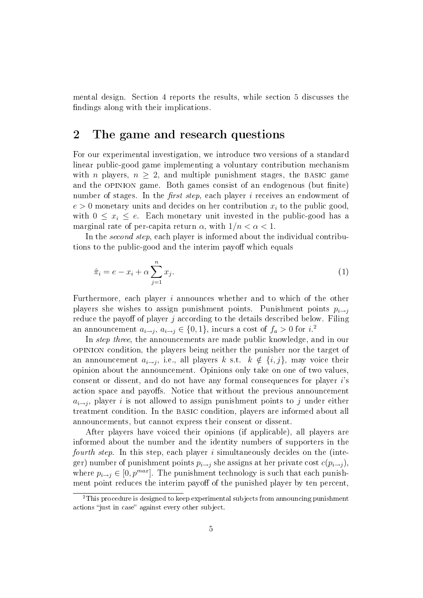mental design. Section 4 reports the results, while section 5 discusses the findings along with their implications.

## 2 The game and research questions

For our experimental investigation, we introduce two versions of a standard linear public-good game implementing a voluntary contribution mechanism with *n* players,  $n \geq 2$ , and multiple punishment stages, the BASIC game and the OPINION game. Both games consist of an endogenous (but finite) number of stages. In the *first step*, each player  $i$  receives an endowment of  $e > 0$  monetary units and decides on her contribution  $x_i$  to the public good, with  $0 \leq x_i \leq e$ . Each monetary unit invested in the public-good has a marginal rate of per-capita return  $\alpha$ , with  $1/n < \alpha < 1$ .

In the *second step*, each player is informed about the individual contributions to the public-good and the interim payoff which equals

$$
\hat{\pi}_i = e - x_i + \alpha \sum_{j=1}^n x_j.
$$
\n<sup>(1)</sup>

Furthermore, each player i announces whether and to which of the other players she wishes to assign punishment points. Punishment points  $p_{i\rightarrow j}$ reduce the payoff of player  $j$  according to the details described below. Filing an announcement  $a_{i\rightarrow j}$ ,  $a_{i\rightarrow j} \in \{0,1\}$ , incurs a cost of  $f_a > 0$  for  $i$ .<sup>2</sup>

In *step three*, the announcements are made public knowledge, and in our opinion condition, the players being neither the punisher nor the target of an announcement  $a_{i\rightarrow j},$  i.e., all players  $k$  s.t.  $k \notin \{i,j\},$  may voice their opinion about the announcement. Opinions only take on one of two values, consent or dissent, and do not have any formal consequences for player i's action space and payoffs. Notice that without the previous announcement  $a_{i\rightarrow j}$ , player i is not allowed to assign punishment points to j under either treatment condition. In the basic condition, players are informed about all announcements, but cannot express their consent or dissent.

After players have voiced their opinions (if applicable), all players are informed about the number and the identity numbers of supporters in the *fourth step.* In this step, each player  $i$  simultaneously decides on the (integer) number of punishment points  $p_{i\rightarrow j}$  she assigns at her private cost  $c(p_{i\rightarrow j})$ , where  $p_{i\rightarrow j} \in [0, p^{max}]$ . The punishment technology is such that each punishment point reduces the interim payoff of the punished player by ten percent,

 $2$ This procedure is designed to keep experimental subjects from announcing punishment actions "just in case" against every other subject.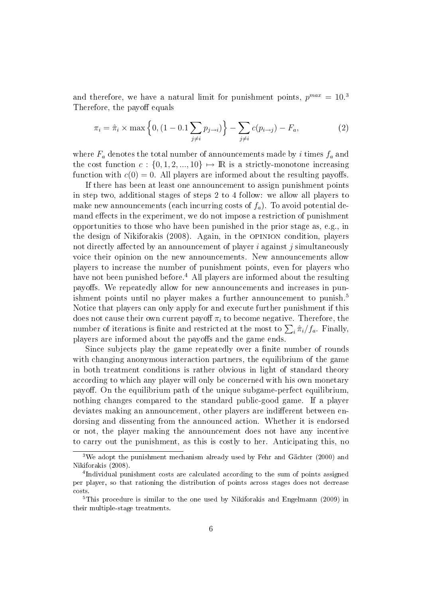and therefore, we have a natural limit for punishment points,  $p^{max} = 10^{3}$ Therefore, the payoff equals

$$
\pi_i = \hat{\pi}_i \times \max \left\{ 0, (1 - 0.1 \sum_{j \neq i} p_{j \to i}) \right\} - \sum_{j \neq i} c(p_{i \to j}) - F_a, \tag{2}
$$

where  $F_a$  denotes the total number of announcements made by i times  $f_a$  and the cost function  $c : \{0, 1, 2, ..., 10\} \mapsto \mathbb{R}$  is a strictly-monotone increasing function with  $c(0) = 0$ . All players are informed about the resulting payoffs.

If there has been at least one announcement to assign punishment points in step two, additional stages of steps 2 to 4 follow: we allow all players to make new announcements (each incurring costs of  $f_a$ ). To avoid potential demand effects in the experiment, we do not impose a restriction of punishment opportunities to those who have been punished in the prior stage as, e.g., in the design of Nikiforakis (2008). Again, in the opinion condition, players not directly affected by an announcement of player i against j simultaneously voice their opinion on the new announcements. New announcements allow players to increase the number of punishment points, even for players who have not been punished before.<sup>4</sup> All players are informed about the resulting payoffs. We repeatedly allow for new announcements and increases in punishment points until no player makes a further announcement to punish.<sup>5</sup> Notice that players can only apply for and execute further punishment if this does not cause their own current payoff  $\pi_i$  to become negative. Therefore, the number of iterations is finite and restricted at the most to  $\sum_i \hat{\pi}_i / f_a$ . Finally, players are informed about the payoffs and the game ends.

Since subjects play the game repeatedly over a finite number of rounds with changing anonymous interaction partners, the equilibrium of the game in both treatment conditions is rather obvious in light of standard theory according to which any player will only be concerned with his own monetary payoff. On the equilibrium path of the unique subgame-perfect equilibrium. nothing changes compared to the standard public-good game. If a player deviates making an announcement, other players are indifferent between endorsing and dissenting from the announced action. Whether it is endorsed or not, the player making the announcement does not have any incentive to carry out the punishment, as this is costly to her. Anticipating this, no

<sup>3</sup>We adopt the punishment mechanism already used by Fehr and Gächter (2000) and Nikiforakis (2008).

<sup>4</sup> Individual punishment costs are calculated according to the sum of points assigned per player, so that rationing the distribution of points across stages does not decrease costs.

<sup>&</sup>lt;sup>5</sup>This procedure is similar to the one used by Nikiforakis and Engelmann (2009) in their multiple-stage treatments.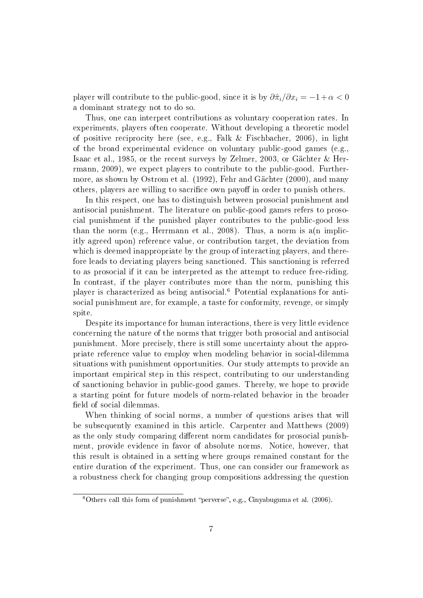player will contribute to the public-good, since it is by  $\partial \hat{\pi}_i/\partial x_i = -1+\alpha < 0$ a dominant strategy not to do so.

Thus, one can interpret contributions as voluntary cooperation rates. In experiments, players often cooperate. Without developing a theoretic model of positive reciprocity here (see, e.g., Falk & Fischbacher, 2006), in light of the broad experimental evidence on voluntary public-good games (e.g., Isaac et al., 1985, or the recent surveys by Zelmer, 2003, or Gächter & Herrmann, 2009), we expect players to contribute to the public-good. Furthermore, as shown by Ostrom et al. (1992), Fehr and Gächter (2000), and many others, players are willing to sacrifice own payoff in order to punish others.

In this respect, one has to distinguish between prosocial punishment and antisocial punishment. The literature on public-good games refers to prosocial punishment if the punished player contributes to the public-good less than the norm (e.g., Herrmann et al., 2008). Thus, a norm is  $a(n)$  implicitly agreed upon) reference value, or contribution target, the deviation from which is deemed inappropriate by the group of interacting players, and therefore leads to deviating players being sanctioned. This sanctioning is referred to as prosocial if it can be interpreted as the attempt to reduce free-riding. In contrast, if the player contributes more than the norm, punishing this player is characterized as being antisocial.<sup>6</sup> Potential explanations for antisocial punishment are, for example, a taste for conformity, revenge, or simply spite.

Despite its importance for human interactions, there is very little evidence concerning the nature of the norms that trigger both prosocial and antisocial punishment. More precisely, there is still some uncertainty about the appropriate reference value to employ when modeling behavior in social-dilemma situations with punishment opportunities. Our study attempts to provide an important empirical step in this respect, contributing to our understanding of sanctioning behavior in public-good games. Thereby, we hope to provide a starting point for future models of norm-related behavior in the broader field of social dilemmas.

When thinking of social norms, a number of questions arises that will be subsequently examined in this article. Carpenter and Matthews (2009) as the only study comparing different norm candidates for prosocial punishment, provide evidence in favor of absolute norms. Notice, however, that this result is obtained in a setting where groups remained constant for the entire duration of the experiment. Thus, one can consider our framework as a robustness check for changing group compositions addressing the question

 $6$ Others call this form of punishment "perverse", e.g., Cinyabuguma et al. (2006).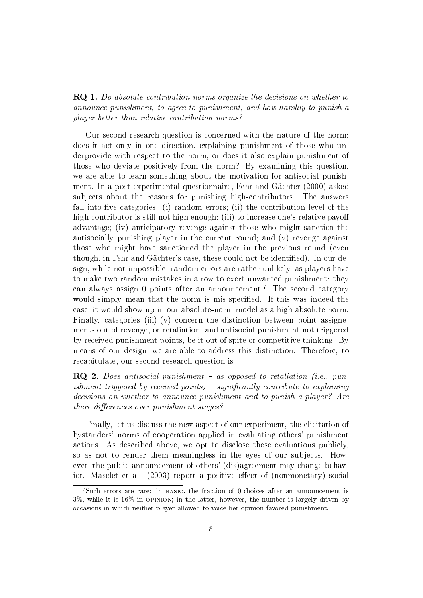RQ 1. Do absolute contribution norms organize the decisions on whether to announce punishment, to agree to punishment, and how harshly to punish a player better than relative contribution norms?

Our second research question is concerned with the nature of the norm: does it act only in one direction, explaining punishment of those who underprovide with respect to the norm, or does it also explain punishment of those who deviate positively from the norm? By examining this question, we are able to learn something about the motivation for antisocial punishment. In a post-experimental questionnaire, Fehr and Gächter (2000) asked subjects about the reasons for punishing high-contributors. The answers fall into five categories: (i) random errors; (ii) the contribution level of the high-contributor is still not high enough; (iii) to increase one's relative payoff advantage; (iv) anticipatory revenge against those who might sanction the antisocially punishing player in the current round; and (v) revenge against those who might have sanctioned the player in the previous round (even though, in Fehr and Gächter's case, these could not be identified). In our design, while not impossible, random errors are rather unlikely, as players have to make two random mistakes in a row to exert unwanted punishment: they can always assign 0 points after an announcement.<sup>7</sup> The second category would simply mean that the norm is mis-specified. If this was indeed the case, it would show up in our absolute-norm model as a high absolute norm. Finally, categories (iii)-(v) concern the distinction between point assignements out of revenge, or retaliation, and antisocial punishment not triggered by received punishment points, be it out of spite or competitive thinking. By means of our design, we are able to address this distinction. Therefore, to recapitulate, our second research question is

 $\bf RQ$  2. Does antisocial punishment – as opposed to retaliation (i.e., punishment triggered by received points)  $-$  significantly contribute to explaining decisions on whether to announce punishment and to punish a player? Are there differences over punishment stages?

Finally, let us discuss the new aspect of our experiment, the elicitation of bystanders' norms of cooperation applied in evaluating others' punishment actions. As described above, we opt to disclose these evaluations publicly, so as not to render them meaningless in the eyes of our subjects. However, the public announcement of others' (dis)agreement may change behavior. Masclet et al.  $(2003)$  report a positive effect of  $(nonmonetary)$  social

<sup>7</sup>Such errors are rare: in basic, the fraction of 0-choices after an announcement is 3%, while it is 16% in opinion; in the latter, however, the number is largely driven by occasions in which neither player allowed to voice her opinion favored punishment.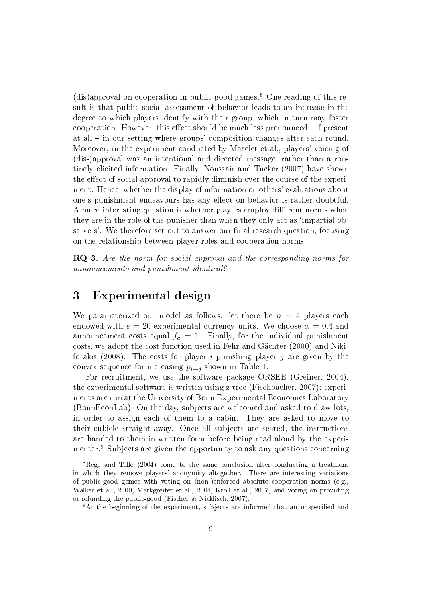$(dis)$ approval on cooperation in public-good games.<sup>8</sup> One reading of this result is that public social assessment of behavior leads to an increase in the degree to which players identify with their group, which in turn may foster cooperation. However, this effect should be much less pronounced  $-$  if present at all – in our setting where groups' composition changes after each round. Moreover, in the experiment conducted by Masclet et al., players' voicing of (dis-)approval was an intentional and directed message, rather than a routinely elicited information. Finally, Noussair and Tucker (2007) have shown the effect of social approval to rapidly diminish over the course of the experiment. Hence, whether the display of information on others' evaluations about one's punishment endeavours has any effect on behavior is rather doubtful. A more interesting question is whether players employ different norms when they are in the role of the punisher than when they only act as `impartial observers'. We therefore set out to answer our final research question, focusing on the relationship between player roles and cooperation norms:

RQ 3. Are the norm for social approval and the corresponding norms for announcements and punishment identical?

## 3 Experimental design

We parameterized our model as follows: let there be  $n = 4$  players each endowed with  $e = 20$  experimental currency units. We choose  $\alpha = 0.4$  and announcement costs equal  $f_a = 1$ . Finally, for the individual punishment costs, we adopt the cost function used in Fehr and Gächter (2000) and Nikiforakis (2008). The costs for player i punishing player j are given by the convex sequence for increasing  $p_{i\rightarrow j}$  shown in Table 1.

For recruitment, we use the software package ORSEE (Greiner, 2004), the experimental software is written using z-tree (Fischbacher, 2007); experiments are run at the University of Bonn Experimental Economics Laboratory (BonnEconLab). On the day, subjects are welcomed and asked to draw lots, in order to assign each of them to a cabin. They are asked to move to their cubicle straight away. Once all subjects are seated, the instructions are handed to them in written form before being read aloud by the experimenter.<sup>9</sup> Subjects are given the opportunity to ask any questions concerning

 ${}^{8}$ Rege and Telle (2004) come to the same conclusion after conducting a treatment in which they remove players' anonymity altogether. There are interesting variations of public-good games with voting on (non-)enforced absolute cooperation norms (e.g., Walker et al., 2000, Markgreiter et al., 2004, Kroll et al., 2007) and voting on providing or refunding the public-good (Fischer & Nicklisch, 2007).

<sup>&</sup>lt;sup>9</sup>At the beginning of the experiment, subjects are informed that an unspecified and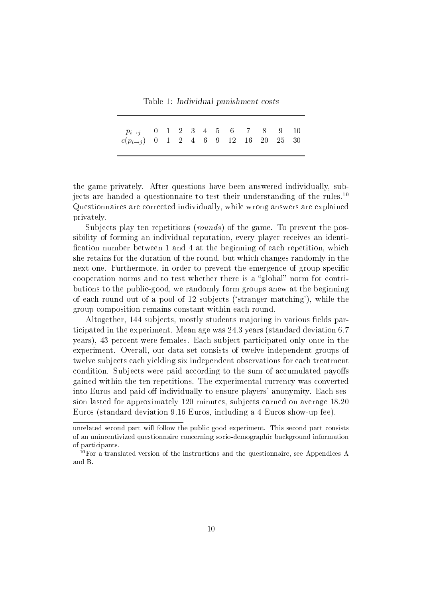Table 1: Individual punishment costs

| $\left.\begin{array}{c cccccccccccccccccc} p_{i\rightarrow j} & 0 & 1 & 2 & 3 & 4 & 5 & 6 & 7 & 8 & 9 & 10 \\ c(p_{i\rightarrow j}) & 0 & 1 & 2 & 4 & 6 & 9 & 12 & 16 & 20 & 25 & 30 \end{array}\right.$ |  |  |  |  |  |  |
|----------------------------------------------------------------------------------------------------------------------------------------------------------------------------------------------------------|--|--|--|--|--|--|
|                                                                                                                                                                                                          |  |  |  |  |  |  |

the game privately. After questions have been answered individually, subjects are handed a questionnaire to test their understanding of the rules.<sup>10</sup> Questionnaires are corrected individually, while wrong answers are explained privately.

Subjects play ten repetitions (*rounds*) of the game. To prevent the possibility of forming an individual reputation, every player receives an identi fication number between 1 and 4 at the beginning of each repetition, which she retains for the duration of the round, but which changes randomly in the next one. Furthermore, in order to prevent the emergence of group-specific cooperation norms and to test whether there is a "global" norm for contributions to the public-good, we randomly form groups anew at the beginning of each round out of a pool of 12 subjects (`stranger matching'), while the group composition remains constant within each round.

Altogether, 144 subjects, mostly students majoring in various fields participated in the experiment. Mean age was 24.3 years (standard deviation 6.7 years), 43 percent were females. Each subject participated only once in the experiment. Overall, our data set consists of twelve independent groups of twelve subjects each yielding six independent observations for each treatment condition. Subjects were paid according to the sum of accumulated payoffs gained within the ten repetitions. The experimental currency was converted into Euros and paid off individually to ensure players' anonymity. Each session lasted for approximately 120 minutes, subjects earned on average 18.20 Euros (standard deviation 9.16 Euros, including a 4 Euros show-up fee).

unrelated second part will follow the public good experiment. This second part consists of an unincentivized questionnaire concerning socio-demographic background information of participants.

<sup>10</sup>For a translated version of the instructions and the questionnaire, see Appendices A and B.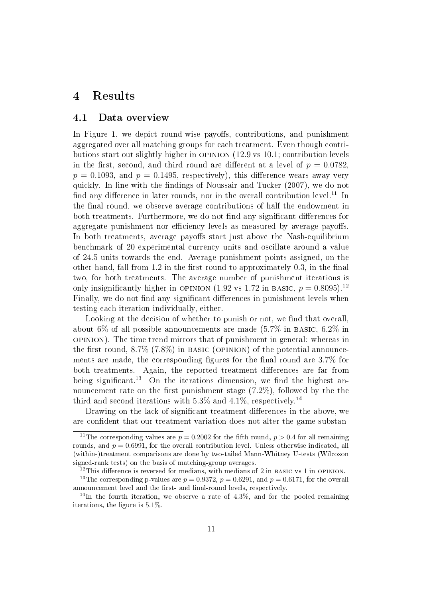## 4 Results

#### 4.1 Data overview

In Figure 1, we depict round-wise payoffs, contributions, and punishment aggregated over all matching groups for each treatment. Even though contributions start out slightly higher in opinion (12.9 vs 10.1; contribution levels in the first, second, and third round are different at a level of  $p = 0.0782$ .  $p = 0.1093$ , and  $p = 0.1495$ , respectively), this difference wears away very quickly. In line with the findings of Noussair and Tucker (2007), we do not find any difference in later rounds, nor in the overall contribution level.<sup>11</sup> In the final round, we observe average contributions of half the endowment in both treatments. Furthermore, we do not find any significant differences for aggregate punishment nor efficiency levels as measured by average payoffs. In both treatments, average payoffs start just above the Nash-equilibrium benchmark of 20 experimental currency units and oscillate around a value of 24.5 units towards the end. Average punishment points assigned, on the other hand, fall from  $1.2$  in the first round to approximately  $0.3$ , in the final two, for both treatments. The average number of punishment iterations is only insignificantly higher in OPINION (1.92 vs 1.72 in BASIC,  $p = 0.8095$ ).<sup>12</sup> Finally, we do not find any significant differences in punishment levels when testing each iteration individually, either.

Looking at the decision of whether to punish or not, we find that overall, about 6% of all possible announcements are made  $(5.7\%$  in BASIC,  $6.2\%$  in opinion). The time trend mirrors that of punishment in general: whereas in the first round,  $8.7\%$  (7.8%) in BASIC (OPINION) of the potential announcements are made, the corresponding figures for the final round are  $3.7\%$  for both treatments. Again, the reported treatment differences are far from being significant.<sup>13</sup> On the iterations dimension, we find the highest announcement rate on the first punishment stage  $(7.2\%)$ , followed by the the third and second iterations with 5.3% and 4.1%, respectively.<sup>14</sup>

Drawing on the lack of significant treatment differences in the above, we are confident that our treatment variation does not alter the game substan-

<sup>&</sup>lt;sup>11</sup>The corresponding values are  $p = 0.2002$  for the fifth round,  $p > 0.4$  for all remaining rounds, and  $p = 0.6991$ , for the overall contribution level. Unless otherwise indicated, all (within-)treatment comparisons are done by two-tailed Mann-Whitney U-tests (Wilcoxon signed-rank tests) on the basis of matching-group averages.

 $12$ This difference is reversed for medians, with medians of 2 in BASIC vs 1 in OPINION.

<sup>&</sup>lt;sup>13</sup>The corresponding p-values are  $p = 0.9372$ ,  $p = 0.6291$ , and  $p = 0.6171$ , for the overall announcement level and the first- and final-round levels, respectively.

 $14$ In the fourth iteration, we observe a rate of 4.3%, and for the pooled remaining iterations, the figure is  $5.1\%$ .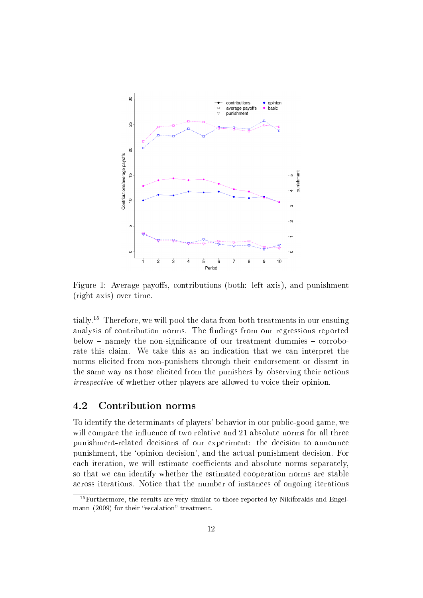

Figure 1: Average payoffs, contributions (both: left axis), and punishment (right axis) over time.

tially.<sup>15</sup> Therefore, we will pool the data from both treatments in our ensuing analysis of contribution norms. The findings from our regressions reported  $below$  – namely the non-significance of our treatment dummies – corroborate this claim. We take this as an indication that we can interpret the norms elicited from non-punishers through their endorsement or dissent in the same way as those elicited from the punishers by observing their actions irrespective of whether other players are allowed to voice their opinion.

### 4.2 Contribution norms

To identify the determinants of players' behavior in our public-good game, we will compare the influence of two relative and 21 absolute norms for all three punishment-related decisions of our experiment: the decision to announce punishment, the `opinion decision', and the actual punishment decision. For each iteration, we will estimate coefficients and absolute norms separately. so that we can identify whether the estimated cooperation norms are stable across iterations. Notice that the number of instances of ongoing iterations

 $^{15}\rm{Further more,$  the results are very similar to those reported by Nikiforakis and Engelmann (2009) for their "escalation" treatment.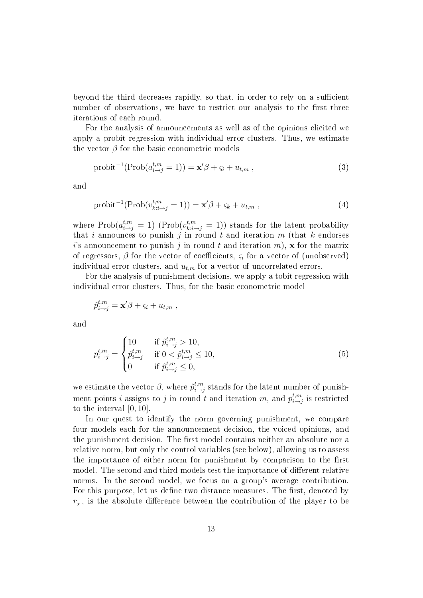beyond the third decreases rapidly, so that, in order to rely on a sufficient number of observations, we have to restrict our analysis to the first three iterations of each round.

For the analysis of announcements as well as of the opinions elicited we apply a probit regression with individual error clusters. Thus, we estimate the vector  $\beta$  for the basic econometric models

$$
\text{probit}^{-1}(\text{Prob}(a_{i \to j}^{t,m} = 1)) = \mathbf{x}'\boldsymbol{\beta} + \varsigma_i + u_{t,m} ,
$$
\n(3)

and

$$
probit^{-1}(\text{Prob}(v_{k:i\rightarrow j}^{t,m}=1)) = \mathbf{x}'\boldsymbol{\beta} + \varsigma_k + u_{t,m} ,
$$
\n(4)

where  $\text{Prob}(a_{i\to j}^{t,m} = 1)$  ( $\text{Prob}(v_{k:i\to j}^{t,m} = 1)$ ) stands for the latent probability that i announces to punish j in round t and iteration  $m$  (that k endorses i's announcement to punish j in round t and iteration m),  $\mathbf x$  for the matrix of regressors,  $\beta$  for the vector of coefficients,  $\varsigma_i$  for a vector of (unobserved) individual error clusters, and  $u_{t,m}$  for a vector of uncorrelated errors.

For the analysis of punishment decisions, we apply a tobit regression with individual error clusters. Thus, for the basic econometric model

$$
\hat{p}_{i \to j}^{t,m} = \mathbf{x}'\beta + \varsigma_i + u_{t,m} \;,
$$

and

$$
p_{i \to j}^{t,m} = \begin{cases} 10 & \text{if } \hat{p}_{i \to j}^{t,m} > 10, \\ \hat{p}_{i \to j}^{t,m} & \text{if } 0 < \hat{p}_{i \to j}^{t,m} \le 10, \\ 0 & \text{if } \hat{p}_{i \to j}^{t,m} \le 0, \end{cases}
$$
(5)

we estimate the vector  $\beta$ , where  $\hat{p}_{i\rightarrow i}^{t,m}$  $_{i\rightarrow j}^{t,m}$  stands for the latent number of punishment points *i* assigns to *j* in round *t* and iteration m, and  $p_{i\rightarrow i}^{t,m}$  $\prod_{i \to j}^{t,m}$  is restricted to the interval [0, 10].

In our quest to identify the norm governing punishment, we compare four models each for the announcement decision, the voiced opinions, and the punishment decision. The first model contains neither an absolute nor a relative norm, but only the control variables (see below), allowing us to assess the importance of either norm for punishment by comparison to the first model. The second and third models test the importance of different relative norms. In the second model, we focus on a group's average contribution. For this purpose, let us define two distance measures. The first, denoted by  $r_{\star}^-$ , is the absolute difference between the contribution of the player to be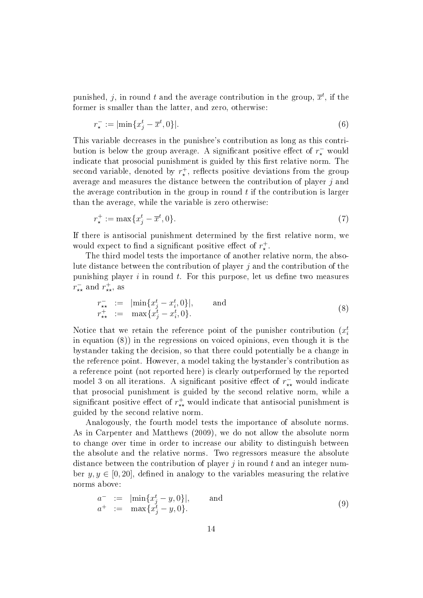punished, j, in round t and the average contribution in the group,  $\overline{x}^t$ , if the former is smaller than the latter, and zero, otherwise:

$$
r_{\star}^- := |\min\{x_j^t - \overline{x}^t, 0\}|. \tag{6}
$$

This variable decreases in the punishee's contribution as long as this contribution is below the group average. A significant positive effect of  $r_{\star}^-$  would indicate that prosocial punishment is guided by this first relative norm. The second variable, denoted by  $r_{\star}^{+}$ , reflects positive deviations from the group average and measures the distance between the contribution of player j and the average contribution in the group in round  $t$  if the contribution is larger than the average, while the variable is zero otherwise:

$$
r_{\star}^{+} := \max\{x_j^t - \overline{x}^t, 0\}.
$$
\n(7)

If there is antisocial punishment determined by the first relative norm, we would expect to find a significant positive effect of  $r^+_{\star}$ .

The third model tests the importance of another relative norm, the absolute distance between the contribution of player  $j$  and the contribution of the punishing player  $i$  in round  $t$ . For this purpose, let us define two measures  $r^{\scriptscriptstyle{-}}_{\star\star}$  and  $r^{\scriptscriptstyle{+}}_{\star\star}$ , as

$$
r_{\star\star}^{-} := |\min\{x_j^t - x_i^t, 0\}|, \quad \text{and} \quad r_{\star\star}^{+} := \max\{x_j^t - x_i^t, 0\}.
$$
 (8)

Notice that we retain the reference point of the punisher contribution  $(x_i^t)$ in equation (8)) in the regressions on voiced opinions, even though it is the bystander taking the decision, so that there could potentially be a change in the reference point. However, a model taking the bystander's contribution as a reference point (not reported here) is clearly outperformed by the reported model 3 on all iterations. A significant positive effect of  $r_{\star\star}^-$  would indicate that prosocial punishment is guided by the second relative norm, while a significant positive effect of  $r^+_{\star\star}$  would indicate that antisocial punishment is guided by the second relative norm.

Analogously, the fourth model tests the importance of absolute norms. As in Carpenter and Matthews (2009), we do not allow the absolute norm to change over time in order to increase our ability to distinguish between the absolute and the relative norms. Two regressors measure the absolute distance between the contribution of player  $j$  in round  $t$  and an integer number  $y, y \in [0, 20]$ , defined in analogy to the variables measuring the relative norms above:

$$
a^{-} := \left| \min \{ x_j^t - y, 0 \} \right|, \quad \text{and} \quad a^{+} := \max \{ x_j^t - y, 0 \}. \tag{9}
$$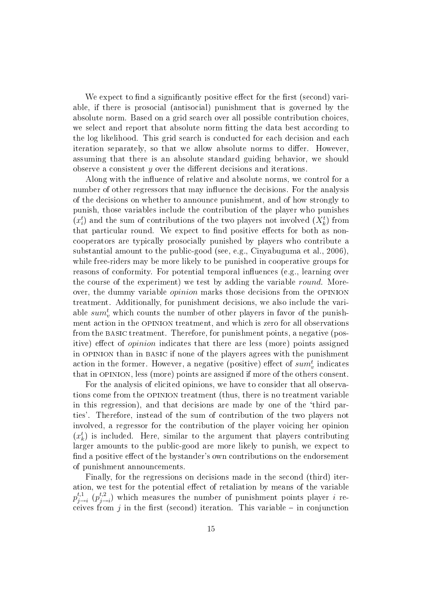We expect to find a significantly positive effect for the first (second) variable, if there is prosocial (antisocial) punishment that is governed by the absolute norm. Based on a grid search over all possible contribution choices, we select and report that absolute norm fitting the data best according to the log likelihood. This grid search is conducted for each decision and each iteration separately, so that we allow absolute norms to differ. However, assuming that there is an absolute standard guiding behavior, we should observe a consistent  $y$  over the different decisions and iterations.

Along with the influence of relative and absolute norms, we control for a number of other regressors that may influence the decisions. For the analysis of the decisions on whether to announce punishment, and of how strongly to punish, those variables include the contribution of the player who punishes  $(x_i^t)$  and the sum of contributions of the two players not involved  $(X_k^t)$  from that particular round. We expect to find positive effects for both as noncooperators are typically prosocially punished by players who contribute a substantial amount to the public-good (see, e.g., Cinyabuguma et al., 2006), while free-riders may be more likely to be punished in cooperative groups for reasons of conformity. For potential temporal influences (e.g., learning over the course of the experiment) we test by adding the variable round. Moreover, the dummy variable opinion marks those decisions from the opinion treatment. Additionally, for punishment decisions, we also include the variable  $\mathit{sum}^t_v$  which counts the number of other players in favor of the punishment action in the opinion treatment, and which is zero for all observations from the basic treatment. Therefore, for punishment points, a negative (positive) effect of *opinion* indicates that there are less (more) points assigned in opinion than in basic if none of the players agrees with the punishment action in the former. However, a negative (positive) effect of  $sum^t_v$  indicates that in opinion, less (more) points are assigned if more of the others consent.

For the analysis of elicited opinions, we have to consider that all observations come from the opinion treatment (thus, there is no treatment variable in this regression), and that decisions are made by one of the `third parties'. Therefore, instead of the sum of contribution of the two players not involved, a regressor for the contribution of the player voicing her opinion  $(x_k^t)$  is included. Here, similar to the argument that players contributing larger amounts to the public-good are more likely to punish, we expect to find a positive effect of the bystander's own contributions on the endorsement of punishment announcements.

Finally, for the regressions on decisions made in the second (third) iteration, we test for the potential effect of retaliation by means of the variable  $p_{i-}^{t,1}$  $_{j\rightarrow i}^{t,1}$   $(p_{j-}^{t,2})$  $j \to i$ ) which measures the number of punishment points player i receives from j in the first (second) iteration. This variable  $-$  in conjunction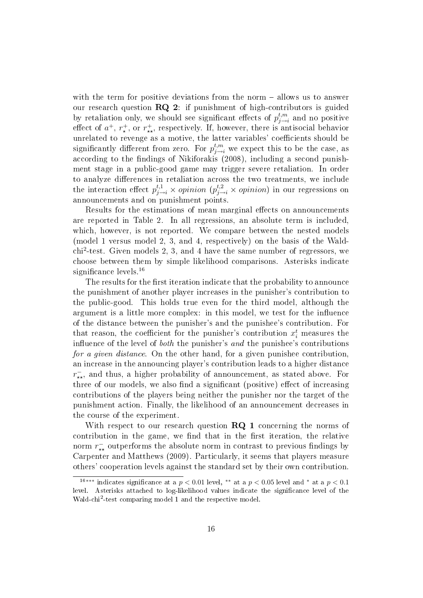with the term for positive deviations from the norm  $-$  allows us to answer our research question RQ 2: if punishment of high-contributors is guided by retaliation only, we should see significant effects of  $p_{i\rightarrow}^{t,m}$  $\iota^{t,m}_{j\rightarrow i}$  and no positive effect of  $a^+$ ,  $r^+_*$ , or  $r^+_{**}$ , respectively. If, however, there is antisocial behavior unrelated to revenge as a motive, the latter variables' coefficients should be significantly different from zero. For  $p_{j\rightarrow i}^{t,m}$  we expect this to be the case, as according to the findings of Nikiforakis (2008), including a second punishment stage in a public-good game may trigger severe retaliation. In order to analyze differences in retaliation across the two treatments, we include the interaction effect  $p_{j\to i}^{t,1} \times opinion (p_{j\to i}^{t,2} \times opinion)$  in our regressions on announcements and on punishment points.

Results for the estimations of mean marginal effects on announcements are reported in Table 2. In all regressions, an absolute term is included, which, however, is not reported. We compare between the nested models (model 1 versus model 2, 3, and 4, respectively) on the basis of the Waldchi<sup>2</sup> -test. Given models 2, 3, and 4 have the same number of regressors, we choose between them by simple likelihood comparisons. Asterisks indicate significance levels.<sup>16</sup>

The results for the first iteration indicate that the probability to announce the punishment of another player increases in the punisher's contribution to the public-good. This holds true even for the third model, although the argument is a little more complex: in this model, we test for the influence of the distance between the punisher's and the punishee's contribution. For that reason, the coefficient for the punisher's contribution  $x_i^t$  measures the influence of the level of *both* the punisher's and the punishee's contributions for a given distance. On the other hand, for a given punishee contribution. an increase in the announcing player's contribution leads to a higher distance  $r_{\star\star}^-$ , and thus, a higher probability of announcement, as stated above. For three of our models, we also find a significant (positive) effect of increasing contributions of the players being neither the punisher nor the target of the punishment action. Finally, the likelihood of an announcement decreases in the course of the experiment.

With respect to our research question  $RQ_1$  concerning the norms of contribution in the game, we find that in the first iteration, the relative norm  $r_{\star\star}^-$  outperforms the absolute norm in contrast to previous findings by Carpenter and Matthews (2009). Particularly, it seems that players measure others' cooperation levels against the standard set by their own contribution.

<sup>&</sup>lt;sup>16</sup><sup>∗</sup>\*\*\*</sup> indicates significance at a  $p < 0.01$  level, \*\* at a  $p < 0.05$  level and \* at a  $p < 0.1$ level. Asterisks attached to log-likelihood values indicate the signicance level of the Wald-chi<sup>2</sup>-test comparing model 1 and the respective model.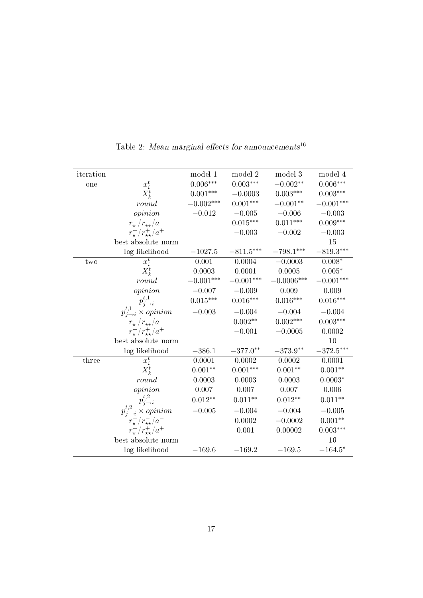| iteration |                                           | model $\overline{1}$ | model 2     | model 3         | model 4                |
|-----------|-------------------------------------------|----------------------|-------------|-----------------|------------------------|
| one       | $x_i^t$                                   | $0.006***$           | $0.003***$  | $-0.002**$      | $0.006***$             |
|           | $X_k^t$                                   | $0.001***$           | $-0.0003$   | $0.003^{***}\,$ | $0.003^{\ast\ast\ast}$ |
|           | round                                     | $-0.002***$          | $0.001***$  | $-0.001**$      | $-0.001***$            |
|           | opinion                                   | $-0.012$             | $-0.005$    | $-0.006$        | $-0.003$               |
|           | $r_{\star}^-/r_{\star\star}^-/a^-$        |                      | $0.015***$  | $0.011***$      | $0.009***$             |
|           | $r_{\star}^{+}/r_{\star\star}^{+}/a^{+}$  |                      | $-0.003$    | $-0.002$        | $-0.003$               |
|           | best absolute norm                        |                      |             |                 | 15                     |
|           | log likelihood                            | $-1027.5$            | $-811.5***$ | $-798.1***$     | $-819.3***$            |
| two       | $x_i^t$                                   | 0.001                | 0.0004      | $-0.0003$       | $0.008*$               |
|           | $X_k^t$                                   | 0.0003               | 0.0001      | 0.0005          | $0.005^{\ast}$         |
|           | round                                     | $-0.001***$          | $-0.001***$ | $-0.0006***$    | $-0.001***$            |
|           | opinion                                   | $-0.007\,$           | $-0.009$    | 0.009           | 0.009                  |
|           | $p_{j\rightarrow i}^{t,1}$                | $0.015***$           | $0.016***$  | $0.016***$      | $0.016***$             |
|           | $p_{j\rightarrow i}^{t,1} \times$ opinion | $-0.003$             | $-0.004$    | $-0.004$        | $-0.004$               |
|           | $r_{\star}^-/r_{\star\star}^-/a^-$        |                      | $0.002**$   | $0.002***$      | $0.003***$             |
|           | $r_{\star}^{+}/r_{\star\star}^{+}/a^{+}$  |                      | $-0.001$    | $-0.0005$       | 0.0002                 |
|           | best absolute norm                        |                      |             |                 | 10                     |
|           | log likelihood                            | $-386.1$             | $-377.0**$  | $-373.9**$      | $-372.5***$            |
| three     | $\overline{x_i^t}$                        | 0.0001               | 0.0002      | 0.0002          | 0.0001                 |
|           | $X_k^t$                                   | $0.001^{\ast\ast}$   | $0.001***$  | $0.001**$       | $0.001**$              |
|           | round                                     | 0.0003               | 0.0003      | 0.0003          | $0.0003*$              |
|           | opinion                                   | 0.007                | 0.007       | 0.007           | 0.006                  |
|           | $p_{j\rightarrow i}^{t,2}$                | $0.012**$            | $0.011**$   | $0.012**$       | $0.011**$              |
|           | $p_{j\rightarrow i}^{t,2} \times opinion$ | $-0.005$             | $-0.004$    | $-0.004$        | $-0.005$               |
|           | $r_{\star}^-/r_{\star\star}^-/a^-$        |                      | 0.0002      | $-0.0002$       | $0.001**$              |
|           | $r_{\star}^{+}/r_{\star\star}^{+}/a^{+}$  |                      | 0.001       | 0.00002         | $0.003***$             |
|           | best absolute norm                        |                      |             |                 | 16                     |
|           | log likelihood                            | $-169.6$             | $-169.2$    | $-169.5$        | $-164.5*$              |

Table 2: Mean marginal effects for announcements<sup>16</sup>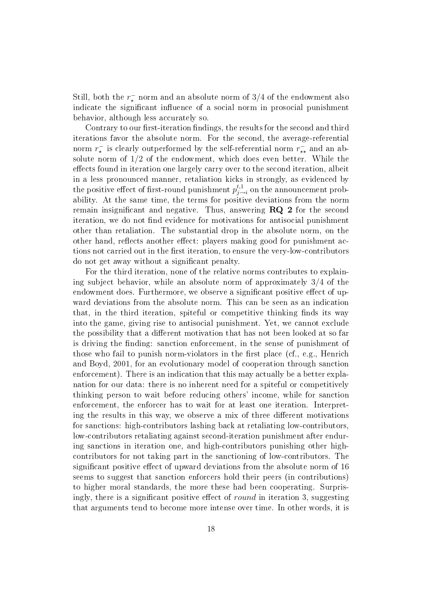Still, both the  $r_{\star}^{-}$  norm and an absolute norm of 3/4 of the endowment also indicate the significant influence of a social norm in prosocial punishment behavior, although less accurately so.

Contrary to our first-iteration findings, the results for the second and third iterations favor the absolute norm. For the second, the average-referential norm  $r_{\star}^{-}$  is clearly outperformed by the self-referential norm  $r_{\star\star}^{-}$  and an absolute norm of 1/2 of the endowment, which does even better. While the effects found in iteration one largely carry over to the second iteration, albeit in a less pronounced manner, retaliation kicks in strongly, as evidenced by the positive effect of first-round punishment  $p_{j-}^{t,1}$  $j \rightarrow i \atop j \rightarrow i}$  on the announcement probability. At the same time, the terms for positive deviations from the norm remain insignificant and negative. Thus, answering  $RQ$  2 for the second iteration, we do not find evidence for motivations for antisocial punishment other than retaliation. The substantial drop in the absolute norm, on the other hand, reflects another effect: players making good for punishment actions not carried out in the first iteration, to ensure the very-low-contributors do not get away without a signicant penalty.

For the third iteration, none of the relative norms contributes to explaining subject behavior, while an absolute norm of approximately 3/4 of the endowment does. Furthermore, we observe a significant positive effect of upward deviations from the absolute norm. This can be seen as an indication that, in the third iteration, spiteful or competitive thinking finds its way into the game, giving rise to antisocial punishment. Yet, we cannot exclude the possibility that a different motivation that has not been looked at so far is driving the finding: sanction enforcement, in the sense of punishment of those who fail to punish norm-violators in the first place (cf., e.g., Henrich and Boyd, 2001, for an evolutionary model of cooperation through sanction enforcement). There is an indication that this may actually be a better explanation for our data: there is no inherent need for a spiteful or competitively thinking person to wait before reducing others' income, while for sanction enforcement, the enforcer has to wait for at least one iteration. Interpreting the results in this way, we observe a mix of three different motivations for sanctions: high-contributors lashing back at retaliating low-contributors, low-contributors retaliating against second-iteration punishment after enduring sanctions in iteration one, and high-contributors punishing other highcontributors for not taking part in the sanctioning of low-contributors. The significant positive effect of upward deviations from the absolute norm of 16 seems to suggest that sanction enforcers hold their peers (in contributions) to higher moral standards, the more these had been cooperating. Surprisingly, there is a significant positive effect of *round* in iteration 3, suggesting that arguments tend to become more intense over time. In other words, it is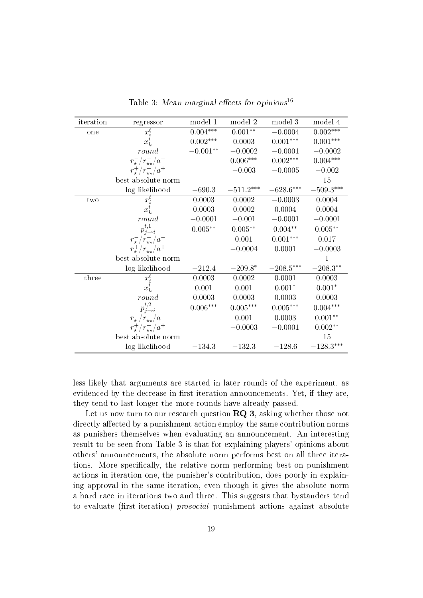| iteration | regressor                                | model 1         | model 2                | model 3     | model 4            |
|-----------|------------------------------------------|-----------------|------------------------|-------------|--------------------|
| one       | $x_i^t$                                  | $0.004***$      | $0.001**$              | $-0.0004$   | $0.002***$         |
|           | $x_k^t$                                  | $0.002***$      | 0.0003                 | $0.001***$  | $0.001***$         |
|           | round                                    | $-0.001**$      | $-0.0002$              | $-0.0001$   | $-0.0002$          |
|           | $r_{\star}^-/r_{\star\star}^-/a^-$       |                 | $0.006^{\ast\ast\ast}$ | $0.002***$  | $0.004^{***}\,$    |
|           | $r_{\star}^{+}/r_{\star\star}^{+}/a^{+}$ |                 | $-0.003$               | $-0.0005$   | $-0.002$           |
|           | best absolute norm                       |                 |                        |             | 15                 |
|           | log likelihood                           | $-690.3$        | $-511.2***$            | $-628.6***$ | $-509.3***$        |
| two       | $\overline{x_i^t}$                       | 0.0003          | 0.0002                 | $-0.0003$   | 0.0004             |
|           | $x_k^t$                                  | 0.0003          | 0.0002                 | 0.0004      | 0.0004             |
|           | round                                    | $-0.0001$       | $-0.001$               | $-0.0001$   | $-0.0001$          |
|           | $p_{i\rightarrow i}^{t,1}$               | $0.005**$       | $0.005**$              | $0.004**$   | $0.005**$          |
|           | $r_{\star}^-/r_{\star\star}^-/a^-$       |                 | 0.001                  | $0.001***$  | 0.017              |
|           | $r^{+}_{\star}/r^{+}_{\star\star}/a^{+}$ |                 | $-0.0004$              | 0.0001      | $-0.0003$          |
|           | best absolute norm                       |                 |                        |             | $\mathbf 1$        |
|           | log likelihood                           | $-212.4$        | $-209.8*$              | $-208.5***$ | $-208.3**$         |
| three     | $\overline{x_i^t}$                       | 0.0003          | 0.0002                 | 0.0001      | 0.0003             |
|           | $x_k^t$                                  | 0.001           | 0.001                  | $0.001*$    | $0.001*$           |
|           | round                                    | 0.0003          | 0.0003                 | 0.0003      | 0.0003             |
|           | $p_{j\rightarrow i}^{t,2}$               | $0.006^{***}\,$ | $0.005***$             | $0.005***$  | $0.004^{***}\,$    |
|           | $r_{\star}^-/r_{\star\star}^-/a^-$       |                 | 0.001                  | 0.0003      | $0.001**$          |
|           | $r_{\star}^{+}/r_{\star\star}^{+}/a^{+}$ |                 | $-0.0003$              | $-0.0001$   | $0.002^{\ast\ast}$ |
|           | best absolute norm                       |                 |                        |             | 15                 |
|           | log likelihood                           | $-134.3$        | $-132.3$               | $-128.6$    | $-128.3***$        |

Table 3: Mean marginal effects for opinions<sup>16</sup>

less likely that arguments are started in later rounds of the experiment, as evidenced by the decrease in first-iteration announcements. Yet, if they are, they tend to last longer the more rounds have already passed.

Let us now turn to our research question  $\mathbb{R}Q$  3, asking whether those not directly affected by a punishment action employ the same contribution norms as punishers themselves when evaluating an announcement. An interesting result to be seen from Table 3 is that for explaining players' opinions about others' announcements, the absolute norm performs best on all three iterations. More specifically, the relative norm performing best on punishment actions in iteration one, the punisher's contribution, does poorly in explaining approval in the same iteration, even though it gives the absolute norm a hard race in iterations two and three. This suggests that bystanders tend to evaluate (first-iteration) *prosocial* punishment actions against absolute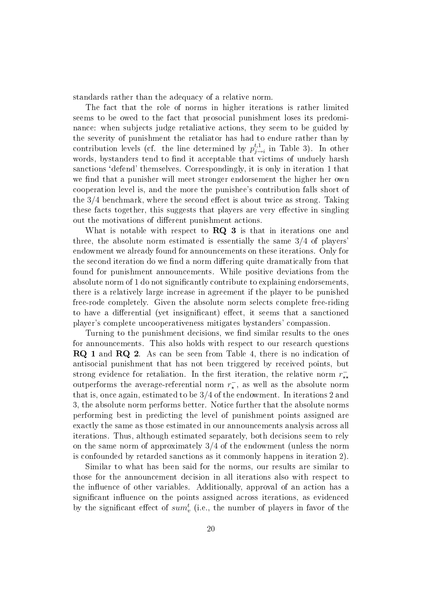standards rather than the adequacy of a relative norm.

The fact that the role of norms in higher iterations is rather limited seems to be owed to the fact that prosocial punishment loses its predominance: when subjects judge retaliative actions, they seem to be guided by the severity of punishment the retaliator has had to endure rather than by contribution levels (cf. the line determined by  $p_{j-}^{t,1}$  $j \to i$  in Table 3). In other words, bystanders tend to find it acceptable that victims of unduely harsh sanctions 'defend' themselves. Correspondingly, it is only in iteration 1 that we find that a punisher will meet stronger endorsement the higher her own cooperation level is, and the more the punishee's contribution falls short of the  $3/4$  benchmark, where the second effect is about twice as strong. Taking these facts together, this suggests that players are very effective in singling out the motivations of different punishment actions.

What is notable with respect to **RQ 3** is that in iterations one and three, the absolute norm estimated is essentially the same 3/4 of players' endowment we already found for announcements on these iterations. Only for the second iteration do we find a norm differing quite dramatically from that found for punishment announcements. While positive deviations from the absolute norm of 1 do not significantly contribute to explaining endorsements. there is a relatively large increase in agreement if the player to be punished free-rode completely. Given the absolute norm selects complete free-riding to have a differential (yet insignificant) effect, it seems that a sanctioned player's complete uncooperativeness mitigates bystanders' compassion.

Turning to the punishment decisions, we find similar results to the ones for announcements. This also holds with respect to our research questions RQ 1 and RQ 2. As can be seen from Table 4, there is no indication of antisocial punishment that has not been triggered by received points, but strong evidence for retaliation. In the first iteration, the relative norm  $r_{\star\star}^$ outperforms the average-referential norm  $r_{\star}^{-}$ , as well as the absolute norm that is, once again, estimated to be 3/4 of the endowment. In iterations 2 and 3, the absolute norm performs better. Notice further that the absolute norms performing best in predicting the level of punishment points assigned are exactly the same as those estimated in our announcements analysis across all iterations. Thus, although estimated separately, both decisions seem to rely on the same norm of approximately 3/4 of the endowment (unless the norm is confounded by retarded sanctions as it commonly happens in iteration 2).

Similar to what has been said for the norms, our results are similar to those for the announcement decision in all iterations also with respect to the influence of other variables. Additionally, approval of an action has a significant influence on the points assigned across iterations, as evidenced by the significant effect of  $sum_{v}^{t}$  (i.e., the number of players in favor of the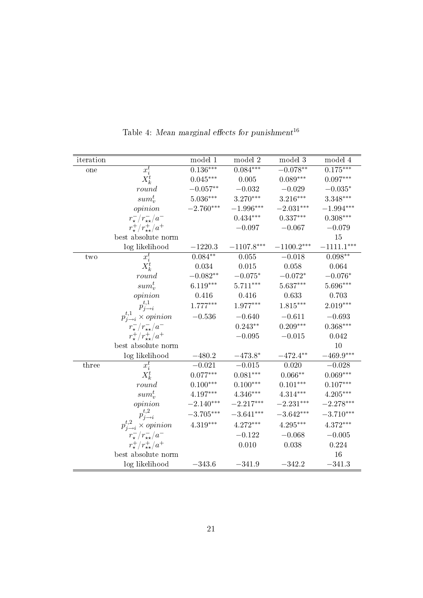| iteration |                                           | model 1     | model 2      | model 3      | model 4      |
|-----------|-------------------------------------------|-------------|--------------|--------------|--------------|
| one       | $x_i^t$                                   | $0.136***$  | $0.084***$   | $-0.078**$   | $0.175***$   |
|           | $X_k^t$                                   | $0.045***$  | $0.005\,$    | $0.089***$   | $0.097***$   |
|           | round                                     | $-0.057**$  | $-0.032$     | $-0.029$     | $-0.035*$    |
|           | $sum_{v}^{t}$                             | $5.036***$  | 3.270***     | $3.216***$   | 3.348***     |
|           | opinion                                   | $-2.760***$ | $-1.996***$  | $-2.031***$  | $-1.994***$  |
|           | $r_{\star}^-/r_{\star\star}^-/a^-$        |             | $0.434***$   | $0.337***$   | $0.308***$   |
|           | $r_{\star}^{+}/r_{\star\star}^{+}/a^{+}$  |             | $-0.097$     | $-0.067$     | $-0.079$     |
|           | best absolute norm                        |             |              |              | 15           |
|           | log likelihood                            | $-1220.3$   | $-1107.8***$ | $-1100.2***$ | $-1111.1***$ |
| two       | $x_i^t$                                   | $0.084**$   | 0.055        | $-0.018$     | $0.098**$    |
|           | $X_k^t$                                   | 0.034       | 0.015        | 0.058        | 0.064        |
|           | round                                     | $-0.082**$  | $-0.075*$    | $-0.072*$    | $-0.076*$    |
|           | $sum_{v}^{t}$                             | $6.119***$  | $5.711***$   | $5.637***$   | 5.696***     |
|           | opinion                                   | 0.416       | 0.416        | 0.633        | 0.703        |
|           | $p_{j\rightarrow i}^{t,1}$                | $1.777***$  | 1.977***     | $1.815***$   | $2.019***$   |
|           | $p_{j\rightarrow i}^{t,1} \times opinion$ | $-0.536$    | $-0.640$     | $-0.611$     | $-0.693$     |
|           | $r_{\star}^-/r_{\star\star}^-/a^-$        |             | $0.243**$    | $0.209***$   | $0.368***$   |
|           | $r^{+}_{\star}/r^{+}_{\star\star}/a^{+}$  |             | $-0.095$     | $-0.015$     | 0.042        |
|           | best absolute norm                        |             |              |              | 10           |
|           | log likelihood                            | $-480.2$    | $-473.8*$    | $-472.4***$  | $-469.9***$  |
| three     | $x_i^t$                                   | $-0.021$    | $-0.015$     | 0.020        | $-0.028$     |
|           | $X_k^t$                                   | $0.077***$  | $0.081***$   | $0.066**$    | $0.069***$   |
|           | round                                     | $0.100***$  | $0.100***$   | $0.101***$   | $0.107***$   |
|           | $sum_{v}^{t}$                             | $4.197***$  | $4.346***$   | $4.314***$   | $4.205***$   |
|           | opinion                                   | $-2.140***$ | $-2.217***$  | $-2.231***$  | $-2.278***$  |
|           | $p_{j\rightarrow i}^{t,2}$                | $-3.705***$ | $-3.641***$  | $-3.642***$  | $-3.710***$  |
|           | $p_{j\rightarrow i}^{t,2} \times opinion$ | $4.319***$  | $4.272***$   | $4.295***$   | $4.372***$   |
|           | $r_{\star}^-/r_{\star\star}^-/a^-$        |             | $-0.122$     | $-0.068$     | $-0.005$     |
|           | $r_{\star}^{+}/r_{\star\star}^{+}/a^{+}$  |             | 0.010        | 0.038        | 0.224        |
|           | best absolute norm                        |             |              |              | 16           |
|           | log likelihood                            | $-343.6$    | $-341.9$     | $-342.2$     | $-341.3$     |

Table 4: Mean marginal effects for punishment  $^{16}$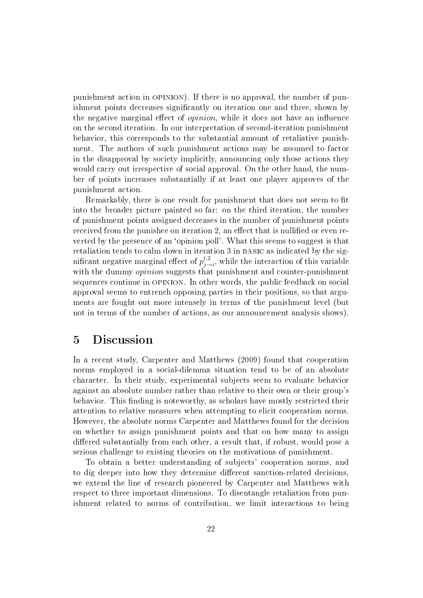punishment action in opinion). If there is no approval, the number of punishment points decreases signicantly on iteration one and three, shown by the negative marginal effect of *opinion*, while it does not have an influence on the second iteration. In our interpretation of second-iteration punishment behavior, this corresponds to the substantial amount of retaliative punishment. The authors of such punishment actions may be assumed to factor in the disapproval by society implicitly, announcing only those actions they would carry out irrespective of social approval. On the other hand, the number of points increases substantially if at least one player approves of the punishment action.

Remarkably, there is one result for punishment that does not seem to fit into the broader picture painted so far: on the third iteration, the number of punishment points assigned decreases in the number of punishment points received from the punishee on iteration 2, an effect that is nullified or even reverted by the presence of an `opinion poll'. What this seems to suggest is that retaliation tends to calm down in iteration 3 in BASIC as indicated by the significant negative marginal effect of  $p_{j-}^{t,2}$  $j_{j\rightarrow i}^{t,2}$ , while the interaction of this variable with the dummy *opinion* suggests that punishment and counter-punishment sequences continue in opinion. In other words, the public feedback on social approval seems to entrench opposing parties in their positions, so that arguments are fought out more intensely in terms of the punishment level (but not in terms of the number of actions, as our announcement analysis shows).

## 5 Discussion

In a recent study, Carpenter and Matthews (2009) found that cooperation norms employed in a social-dilemma situation tend to be of an absolute character. In their study, experimental subjects seem to evaluate behavior against an absolute number rather than relative to their own or their group's behavior. This finding is noteworthy, as scholars have mostly restricted their attention to relative measures when attempting to elicit cooperation norms. However, the absolute norms Carpenter and Matthews found for the decision on whether to assign punishment points and that on how many to assign differed substantially from each other, a result that, if robust, would pose a serious challenge to existing theories on the motivations of punishment.

To obtain a better understanding of subjects' cooperation norms, and to dig deeper into how they determine different sanction-related decisions. we extend the line of research pioneered by Carpenter and Matthews with respect to three important dimensions. To disentangle retaliation from punishment related to norms of contribution, we limit interactions to being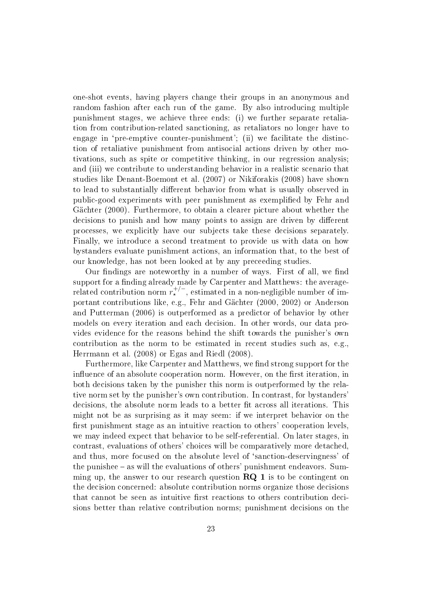one-shot events, having players change their groups in an anonymous and random fashion after each run of the game. By also introducing multiple punishment stages, we achieve three ends: (i) we further separate retaliation from contribution-related sanctioning, as retaliators no longer have to engage in 'pre-emptive counter-punishment'; (ii) we facilitate the distinction of retaliative punishment from antisocial actions driven by other motivations, such as spite or competitive thinking, in our regression analysis; and (iii) we contribute to understanding behavior in a realistic scenario that studies like Denant-Boemont et al. (2007) or Nikiforakis (2008) have shown to lead to substantially different behavior from what is usually observed in public-good experiments with peer punishment as exemplied by Fehr and Gächter (2000). Furthermore, to obtain a clearer picture about whether the decisions to punish and how many points to assign are driven by different processes, we explicitly have our subjects take these decisions separately. Finally, we introduce a second treatment to provide us with data on how bystanders evaluate punishment actions, an information that, to the best of our knowledge, has not been looked at by any preceeding studies.

Our findings are noteworthy in a number of ways. First of all, we find support for a finding already made by Carpenter and Matthews: the averagerelated contribution norm  $r_{\star}^{+/-}$ , estimated in a non-negligible number of important contributions like, e.g., Fehr and Gächter (2000, 2002) or Anderson and Putterman (2006) is outperformed as a predictor of behavior by other models on every iteration and each decision. In other words, our data provides evidence for the reasons behind the shift towards the punisher's own contribution as the norm to be estimated in recent studies such as, e.g., Herrmann et al. (2008) or Egas and Riedl (2008).

Furthermore, like Carpenter and Matthews, we find strong support for the influence of an absolute cooperation norm. However, on the first iteration, in both decisions taken by the punisher this norm is outperformed by the relative norm set by the punisher's own contribution. In contrast, for bystanders' decisions, the absolute norm leads to a better fit across all iterations. This might not be as surprising as it may seem: if we interpret behavior on the first punishment stage as an intuitive reaction to others' cooperation levels. we may indeed expect that behavior to be self-referential. On later stages, in contrast, evaluations of others' choices will be comparatively more detached, and thus, more focused on the absolute level of 'sanction-deservingness' of the punishee – as will the evaluations of others' punishment endeavors. Summing up, the answer to our research question  $\mathbb{R}Q$  1 is to be contingent on the decision concerned: absolute contribution norms organize those decisions that cannot be seen as intuitive first reactions to others contribution decisions better than relative contribution norms; punishment decisions on the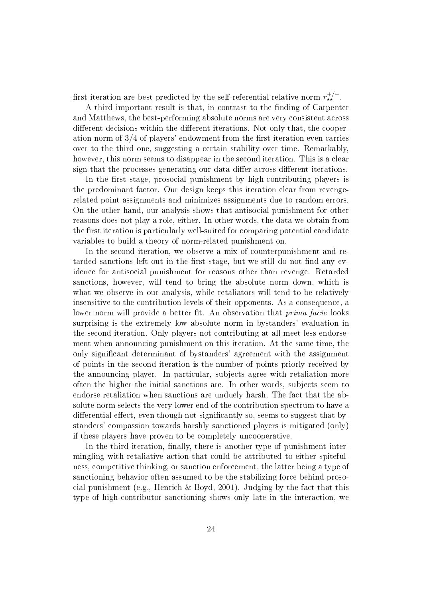first iteration are best predicted by the self-referential relative norm  $r_{\star\star}^{+/-}$ .

A third important result is that, in contrast to the finding of Carpenter and Matthews, the best-performing absolute norms are very consistent across different decisions within the different iterations. Not only that, the cooperation norm of  $3/4$  of players' endowment from the first iteration even carries over to the third one, suggesting a certain stability over time. Remarkably, however, this norm seems to disappear in the second iteration. This is a clear sign that the processes generating our data differ across different iterations.

In the first stage, prosocial punishment by high-contributing players is the predominant factor. Our design keeps this iteration clear from revengerelated point assignments and minimizes assignments due to random errors. On the other hand, our analysis shows that antisocial punishment for other reasons does not play a role, either. In other words, the data we obtain from the first iteration is particularly well-suited for comparing potential candidate variables to build a theory of norm-related punishment on.

In the second iteration, we observe a mix of counterpunishment and retarded sanctions left out in the first stage, but we still do not find any evidence for antisocial punishment for reasons other than revenge. Retarded sanctions, however, will tend to bring the absolute norm down, which is what we observe in our analysis, while retaliators will tend to be relatively insensitive to the contribution levels of their opponents. As a consequence, a lower norm will provide a better fit. An observation that *prima facie* looks surprising is the extremely low absolute norm in bystanders' evaluation in the second iteration. Only players not contributing at all meet less endorsement when announcing punishment on this iteration. At the same time, the only signicant determinant of bystanders' agreement with the assignment of points in the second iteration is the number of points priorly received by the announcing player. In particular, subjects agree with retaliation more often the higher the initial sanctions are. In other words, subjects seem to endorse retaliation when sanctions are unduely harsh. The fact that the absolute norm selects the very lower end of the contribution spectrum to have a differential effect, even though not significantly so, seems to suggest that bystanders' compassion towards harshly sanctioned players is mitigated (only) if these players have proven to be completely uncooperative.

In the third iteration, finally, there is another type of punishment intermingling with retaliative action that could be attributed to either spitefulness, competitive thinking, or sanction enforcement, the latter being a type of sanctioning behavior often assumed to be the stabilizing force behind prosocial punishment (e.g., Henrich & Boyd, 2001). Judging by the fact that this type of high-contributor sanctioning shows only late in the interaction, we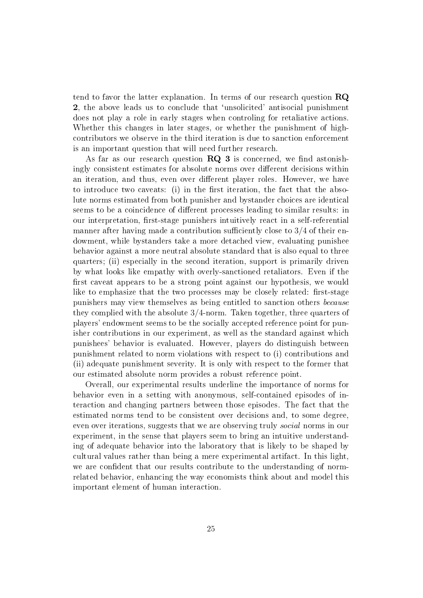tend to favor the latter explanation. In terms of our research question RQ 2, the above leads us to conclude that `unsolicited' antisocial punishment does not play a role in early stages when controling for retaliative actions. Whether this changes in later stages, or whether the punishment of highcontributors we observe in the third iteration is due to sanction enforcement is an important question that will need further research.

As far as our research question  $RQ$  3 is concerned, we find astonishingly consistent estimates for absolute norms over different decisions within an iteration, and thus, even over different player roles. However, we have to introduce two caveats: (i) in the first iteration, the fact that the absolute norms estimated from both punisher and bystander choices are identical seems to be a coincidence of different processes leading to similar results: in our interpretation, first-stage punishers intuitively react in a self-referential manner after having made a contribution sufficiently close to  $3/4$  of their endowment, while bystanders take a more detached view, evaluating punishee behavior against a more neutral absolute standard that is also equal to three quarters; (ii) especially in the second iteration, support is primarily driven by what looks like empathy with overly-sanctioned retaliators. Even if the first caveat appears to be a strong point against our hypothesis, we would like to emphasize that the two processes may be closely related: first-stage punishers may view themselves as being entitled to sanction others because they complied with the absolute  $3/4$ -norm. Taken together, three quarters of players' endowment seems to be the socially accepted reference point for punisher contributions in our experiment, as well as the standard against which punishees' behavior is evaluated. However, players do distinguish between punishment related to norm violations with respect to (i) contributions and (ii) adequate punishment severity. It is only with respect to the former that our estimated absolute norm provides a robust reference point.

Overall, our experimental results underline the importance of norms for behavior even in a setting with anonymous, self-contained episodes of interaction and changing partners between those episodes. The fact that the estimated norms tend to be consistent over decisions and, to some degree, even over iterations, suggests that we are observing truly social norms in our experiment, in the sense that players seem to bring an intuitive understanding of adequate behavior into the laboratory that is likely to be shaped by cultural values rather than being a mere experimental artifact. In this light, we are confident that our results contribute to the understanding of normrelated behavior, enhancing the way economists think about and model this important element of human interaction.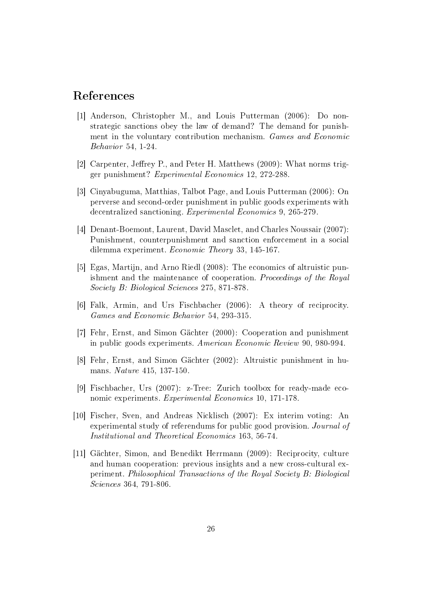## References

- [1] Anderson, Christopher M., and Louis Putterman (2006): Do nonstrategic sanctions obey the law of demand? The demand for punishment in the voluntary contribution mechanism. Games and Economic Behavior 54, 1-24.
- [2] Carpenter, Jeffrey P., and Peter H. Matthews (2009): What norms trigger punishment? Experimental Economics 12, 272-288.
- [3] Cinyabuguma, Matthias, Talbot Page, and Louis Putterman (2006): On perverse and second-order punishment in public goods experiments with decentralized sanctioning. Experimental Economics 9, 265-279.
- [4] Denant-Boemont, Laurent, David Masclet, and Charles Noussair (2007): Punishment, counterpunishment and sanction enforcement in a social dilemma experiment. Economic Theory 33, 145-167.
- [5] Egas, Martijn, and Arno Riedl (2008): The economics of altruistic punishment and the maintenance of cooperation. Proceedings of the Royal Society B: Biological Sciences 275, 871-878.
- [6] Falk, Armin, and Urs Fischbacher (2006): A theory of reciprocity. Games and Economic Behavior 54, 293-315.
- [7] Fehr, Ernst, and Simon Gächter (2000): Cooperation and punishment in public goods experiments. American Economic Review 90, 980-994.
- [8] Fehr, Ernst, and Simon Gächter (2002): Altruistic punishment in humans. Nature 415, 137-150.
- [9] Fischbacher, Urs (2007): z-Tree: Zurich toolbox for ready-made economic experiments. Experimental Economics 10, 171-178.
- [10] Fischer, Sven, and Andreas Nicklisch (2007): Ex interim voting: An experimental study of referendums for public good provision. Journal of Institutional and Theoretical Economics 163, 56-74.
- [11] Gächter, Simon, and Benedikt Herrmann (2009): Reciprocity, culture and human cooperation: previous insights and a new cross-cultural experiment. Philosophical Transactions of the Royal Society B: Biological Sciences 364, 791-806.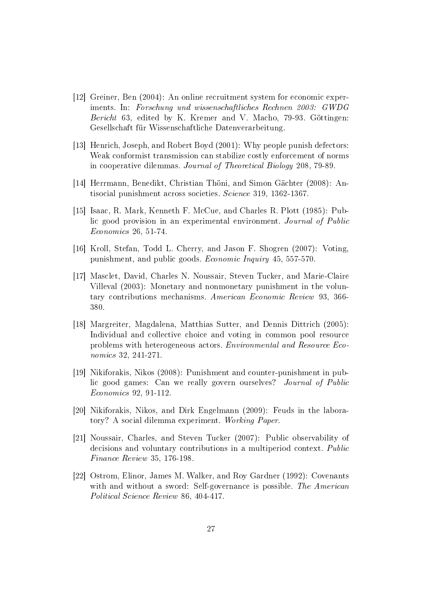- [12] Greiner, Ben (2004): An online recruitment system for economic experiments. In: Forschung und wissenschaftliches Rechnen 2003: GWDG Bericht 63, edited by K. Kremer and V. Macho, 79-93. Göttingen: Gesellschaft für Wissenschaftliche Datenverarbeitung.
- [13] Henrich, Joseph, and Robert Boyd (2001): Why people punish defectors: Weak conformist transmission can stabilize costly enforcement of norms in cooperative dilemmas. Journal of Theoretical Biology 208, 79-89.
- [14] Herrmann, Benedikt, Christian Thöni, and Simon Gächter (2008): Antisocial punishment across societies. Science 319, 1362-1367.
- [15] Isaac, R. Mark, Kenneth F. McCue, and Charles R. Plott (1985): Public good provision in an experimental environment. Journal of Public Economics 26, 51-74.
- [16] Kroll, Stefan, Todd L. Cherry, and Jason F. Shogren (2007): Voting, punishment, and public goods. Economic Inquiry 45, 557-570.
- [17] Masclet, David, Charles N. Noussair, Steven Tucker, and Marie-Claire Villeval (2003): Monetary and nonmonetary punishment in the voluntary contributions mechanisms. American Economic Review 93, 366- 380.
- [18] Margreiter, Magdalena, Matthias Sutter, and Dennis Dittrich (2005): Individual and collective choice and voting in common pool resource problems with heterogeneous actors. Environmental and Resource Economics 32, 241-271.
- [19] Nikiforakis, Nikos (2008): Punishment and counter-punishment in public good games: Can we really govern ourselves? Journal of Public Economics 92, 91-112.
- [20] Nikiforakis, Nikos, and Dirk Engelmann (2009): Feuds in the laboratory? A social dilemma experiment. Working Paper.
- [21] Noussair, Charles, and Steven Tucker (2007): Public observability of decisions and voluntary contributions in a multiperiod context. Public Finance Review 35, 176-198.
- [22] Ostrom, Elinor, James M. Walker, and Roy Gardner (1992): Covenants with and without a sword: Self-governance is possible. The American Political Science Review 86, 404-417.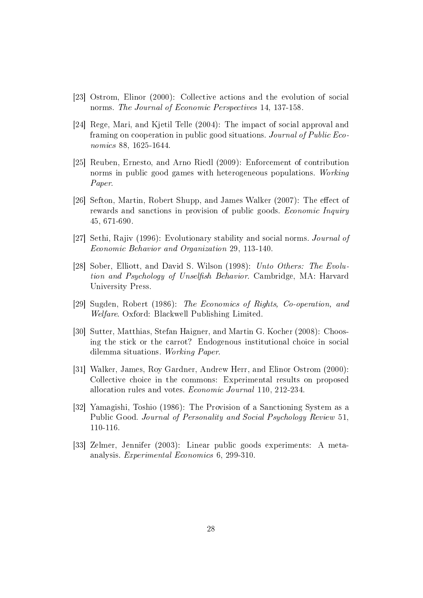- [23] Ostrom, Elinor (2000): Collective actions and the evolution of social norms. The Journal of Economic Perspectives 14, 137-158.
- [24] Rege, Mari, and Kjetil Telle (2004): The impact of social approval and framing on cooperation in public good situations. Journal of Public Economics 88, 1625-1644.
- [25] Reuben, Ernesto, and Arno Riedl (2009): Enforcement of contribution norms in public good games with heterogeneous populations. Working Paper.
- [26] Sefton, Martin, Robert Shupp, and James Walker (2007): The effect of rewards and sanctions in provision of public goods. Economic Inquiry 45, 671-690.
- [27] Sethi, Rajiv (1996): Evolutionary stability and social norms. Journal of Economic Behavior and Organization 29, 113-140.
- [28] Sober, Elliott, and David S. Wilson (1998): Unto Others: The Evolution and Psychology of Unselfish Behavior. Cambridge, MA: Harvard University Press.
- [29] Sugden, Robert (1986): The Economics of Rights, Co-operation, and Welfare. Oxford: Blackwell Publishing Limited.
- [30] Sutter, Matthias, Stefan Haigner, and Martin G. Kocher (2008): Choosing the stick or the carrot? Endogenous institutional choice in social dilemma situations. Working Paper.
- [31] Walker, James, Roy Gardner, Andrew Herr, and Elinor Ostrom (2000): Collective choice in the commons: Experimental results on proposed allocation rules and votes. Economic Journal 110, 212-234.
- [32] Yamagishi, Toshio (1986): The Provision of a Sanctioning System as a Public Good. Journal of Personality and Social Psychology Review 51, 110-116.
- [33] Zelmer, Jennifer (2003): Linear public goods experiments: A metaanalysis. Experimental Economics 6, 299-310.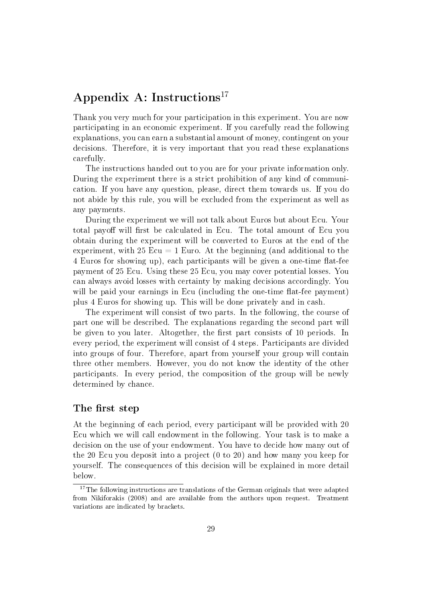# Appendix A: Instructions<sup>17</sup>

Thank you very much for your participation in this experiment. You are now participating in an economic experiment. If you carefully read the following explanations, you can earn a substantial amount of money, contingent on your decisions. Therefore, it is very important that you read these explanations carefully.

The instructions handed out to you are for your private information only. During the experiment there is a strict prohibition of any kind of communication. If you have any question, please, direct them towards us. If you do not abide by this rule, you will be excluded from the experiment as well as any payments.

During the experiment we will not talk about Euros but about Ecu. Your total payoff will first be calculated in Ecu. The total amount of Ecu you obtain during the experiment will be converted to Euros at the end of the experiment, with 25 Ecu  $=$  1 Euro. At the beginning (and additional to the 4 Euros for showing up), each participants will be given a one-time flat-fee payment of 25 Ecu. Using these 25 Ecu, you may cover potential losses. You can always avoid losses with certainty by making decisions accordingly. You will be paid your earnings in Ecu (including the one-time flat-fee payment) plus 4 Euros for showing up. This will be done privately and in cash.

The experiment will consist of two parts. In the following, the course of part one will be described. The explanations regarding the second part will be given to you later. Altogether, the first part consists of 10 periods. In every period, the experiment will consist of 4 steps. Participants are divided into groups of four. Therefore, apart from yourself your group will contain three other members. However, you do not know the identity of the other participants. In every period, the composition of the group will be newly determined by chance.

### The first step

At the beginning of each period, every participant will be provided with 20 Ecu which we will call endowment in the following. Your task is to make a decision on the use of your endowment. You have to decide how many out of the 20 Ecu you deposit into a project (0 to 20) and how many you keep for yourself. The consequences of this decision will be explained in more detail below.

<sup>&</sup>lt;sup>17</sup>The following instructions are translations of the German originals that were adapted from Nikiforakis (2008) and are available from the authors upon request. Treatment variations are indicated by brackets.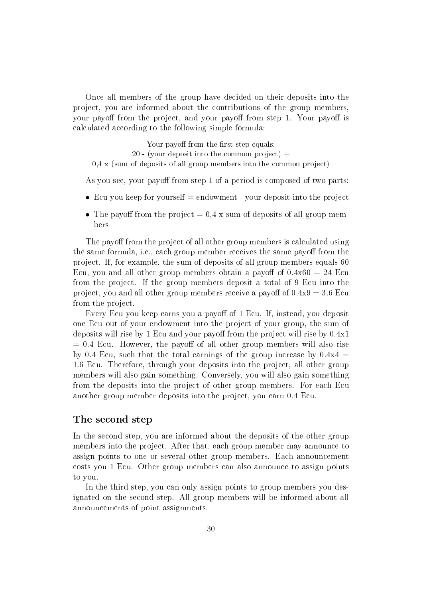Once all members of the group have decided on their deposits into the project, you are informed about the contributions of the group members, your payoff from the project, and your payoff from step 1. Your payoff is calculated according to the following simple formula:

Your payoff from the first step equals: 20 - (your deposit into the common project)  $+$ 0,4 x (sum of deposits of all group members into the common project)

As you see, your payoff from step 1 of a period is composed of two parts:

- Ecu you keep for yourself  $=$  endowment your deposit into the project
- The payoff from the project  $= 0.4$  x sum of deposits of all group members

The payoff from the project of all other group members is calculated using the same formula, i.e., each group member receives the same payoff from the project. If, for example, the sum of deposits of all group members equals 60 Ecu, you and all other group members obtain a payoff of  $0.4x60 = 24$  Ecu from the project. If the group members deposit a total of 9 Ecu into the project, you and all other group members receive a payoff of  $0.4x9 = 3.6$  Ecu from the project.

Every Ecu you keep earns you a payoff of 1 Ecu. If, instead, you deposit one Ecu out of your endowment into the project of your group, the sum of deposits will rise by 1 Ecu and your payoff from the project will rise by  $0.4x1$  $= 0.4$  Ecu. However, the payoff of all other group members will also rise by 0.4 Ecu, such that the total earnings of the group increase by  $0.4x4 =$ 1.6 Ecu. Therefore, through your deposits into the project, all other group members will also gain something. Conversely, you will also gain something from the deposits into the project of other group members. For each Ecu another group member deposits into the project, you earn 0.4 Ecu.

#### The second step

In the second step, you are informed about the deposits of the other group members into the project. After that, each group member may announce to assign points to one or several other group members. Each announcement costs you 1 Ecu. Other group members can also announce to assign points to you.

In the third step, you can only assign points to group members you designated on the second step. All group members will be informed about all announcements of point assignments.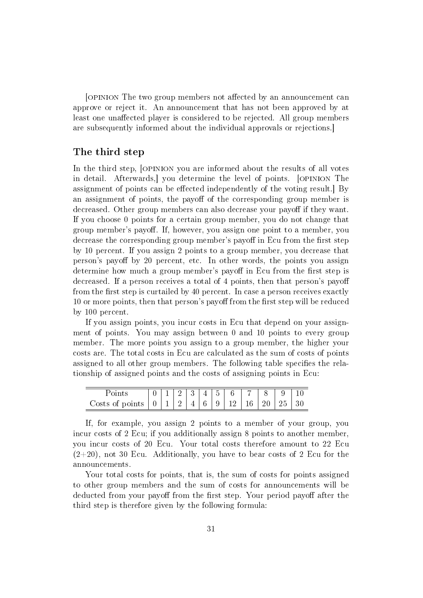[OPINION The two group members not affected by an announcement can approve or reject it. An announcement that has not been approved by at least one unaffected player is considered to be rejected. All group members are subsequently informed about the individual approvals or rejections.]

#### The third step

In the third step, [OPINION you are informed about the results of all votes in detail. Afterwards,] you determine the level of points. [opinion The assignment of points can be effected independently of the voting result. By an assignment of points, the payoff of the corresponding group member is decreased. Other group members can also decrease your payoff if they want. If you choose 0 points for a certain group member, you do not change that group member's payoff. If, however, you assign one point to a member, you decrease the corresponding group member's payoff in Ecu from the first step by 10 percent. If you assign 2 points to a group member, you decrease that person's payoff by 20 percent, etc. In other words, the points you assign determine how much a group member's payoff in Ecu from the first step is decreased. If a person receives a total of 4 points, then that person's payoff from the first step is curtailed by 40 percent. In case a person receives exactly 10 or more points, then that person's payoff from the first step will be reduced by 100 percent.

If you assign points, you incur costs in Ecu that depend on your assignment of points. You may assign between 0 and 10 points to every group member. The more points you assign to a group member, the higher your costs are. The total costs in Ecu are calculated as the sum of costs of points assigned to all other group members. The following table specifies the relationship of assigned points and the costs of assigning points in Ecu:

| Points |  |  |  | 1234456 |  |                   |  |
|--------|--|--|--|---------|--|-------------------|--|
|        |  |  |  |         |  | $\mid 25 \mid 30$ |  |

If, for example, you assign 2 points to a member of your group, you incur costs of 2 Ecu; if you additionally assign 8 points to another member, you incur costs of 20 Ecu. Your total costs therefore amount to 22 Ecu  $(2+20)$ , not 30 Ecu. Additionally, you have to bear costs of 2 Ecu for the announcements.

Your total costs for points, that is, the sum of costs for points assigned to other group members and the sum of costs for announcements will be deducted from your payoff from the first step. Your period payoff after the third step is therefore given by the following formula: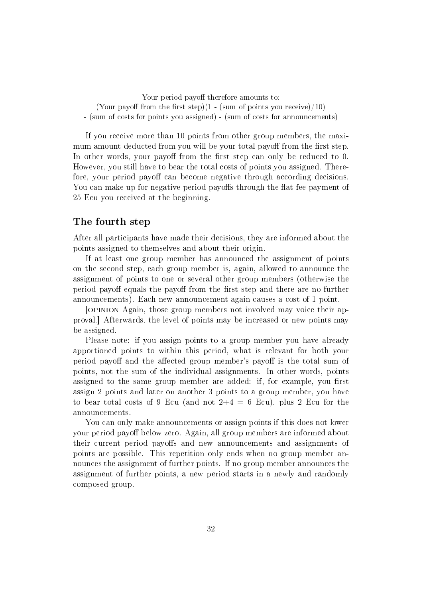Your period payoff therefore amounts to: (Your payoff from the first step)(1 - (sum of points you receive)/10) - (sum of costs for points you assigned) - (sum of costs for announcements)

If you receive more than 10 points from other group members, the maximum amount deducted from you will be your total payoff from the first step. In other words, your payoff from the first step can only be reduced to 0. However, you still have to bear the total costs of points you assigned. Therefore, your period payoff can become negative through according decisions. You can make up for negative period payoffs through the flat-fee payment of 25 Ecu you received at the beginning.

### The fourth step

After all participants have made their decisions, they are informed about the points assigned to themselves and about their origin.

If at least one group member has announced the assignment of points on the second step, each group member is, again, allowed to announce the assignment of points to one or several other group members (otherwise the period payoff equals the payoff from the first step and there are no further announcements). Each new announcement again causes a cost of 1 point.

[opinion Again, those group members not involved may voice their approval.] Afterwards, the level of points may be increased or new points may be assigned.

Please note: if you assign points to a group member you have already apportioned points to within this period, what is relevant for both your period payoff and the affected group member's payoff is the total sum of points, not the sum of the individual assignments. In other words, points assigned to the same group member are added: if, for example, you first assign 2 points and later on another 3 points to a group member, you have to bear total costs of 9 Ecu (and not  $2+4=6$  Ecu), plus 2 Ecu for the announcements.

You can only make announcements or assign points if this does not lower your period payoff below zero. Again, all group members are informed about their current period payoffs and new announcements and assignments of points are possible. This repetition only ends when no group member announces the assignment of further points. If no group member announces the assignment of further points, a new period starts in a newly and randomly composed group.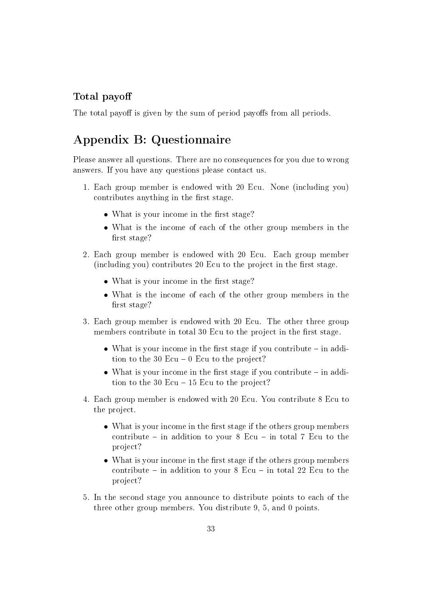## Total payo

The total payoff is given by the sum of period payoffs from all periods.

# Appendix B: Questionnaire

Please answer all questions. There are no consequences for you due to wrong answers. If you have any questions please contact us.

- 1. Each group member is endowed with 20 Ecu. None (including you) contributes anything in the first stage.
	- What is your income in the first stage?
	- What is the income of each of the other group members in the first stage?
- 2. Each group member is endowed with 20 Ecu. Each group member (including you) contributes 20 Ecu to the project in the first stage.
	- What is your income in the first stage?
	- What is the income of each of the other group members in the first stage?
- 3. Each group member is endowed with 20 Ecu. The other three group members contribute in total 30 Ecu to the project in the first stage.
	- What is your income in the first stage if you contribute  $-$  in addition to the 30 Ecu  $-0$  Ecu to the project?
	- What is your income in the first stage if you contribute  $-$  in addition to the 30 Ecu  $-15$  Ecu to the project?
- 4. Each group member is endowed with 20 Ecu. You contribute 8 Ecu to the project.
	- What is your income in the first stage if the others group members contribute  $-$  in addition to your 8 Ecu  $-$  in total 7 Ecu to the project?
	- What is your income in the first stage if the others group members contribute  $-$  in addition to your 8 Ecu  $-$  in total 22 Ecu to the project?
- 5. In the second stage you announce to distribute points to each of the three other group members. You distribute 9, 5, and 0 points.